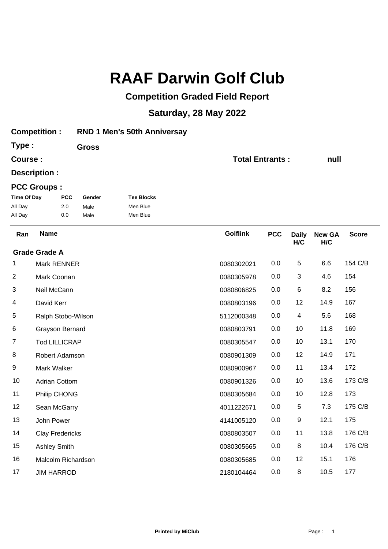## **RAAF Darwin Golf Club**

## **Competition Graded Field Report**

## **Saturday, 28 May 2022**

| <b>Competition:</b> |                      |                        |                             | <b>RND 1 Men's 50th Anniversay</b> |                        |            |                     |                      |              |  |
|---------------------|----------------------|------------------------|-----------------------------|------------------------------------|------------------------|------------|---------------------|----------------------|--------------|--|
| Type:               |                      |                        | <b>Gross</b>                |                                    |                        |            |                     |                      |              |  |
| Course:             |                      |                        |                             |                                    | <b>Total Entrants:</b> |            |                     | null                 |              |  |
| Description :       |                      |                        |                             |                                    |                        |            |                     |                      |              |  |
| <b>PCC Groups:</b>  |                      |                        |                             |                                    |                        |            |                     |                      |              |  |
| <b>Time Of Day</b>  |                      | <b>PCC</b>             | <b>Tee Blocks</b><br>Gender |                                    |                        |            |                     |                      |              |  |
| All Day             |                      | 2.0                    | Male                        | Men Blue                           |                        |            |                     |                      |              |  |
| All Day             |                      | 0.0                    | Male                        | Men Blue                           |                        |            |                     |                      |              |  |
| Ran                 | <b>Name</b>          |                        |                             |                                    | <b>Golflink</b>        | <b>PCC</b> | <b>Daily</b><br>H/C | <b>New GA</b><br>H/C | <b>Score</b> |  |
|                     | <b>Grade Grade A</b> |                        |                             |                                    |                        |            |                     |                      |              |  |
| 1                   |                      | Mark RENNER            |                             |                                    | 0080302021             | 0.0        | $\sqrt{5}$          | 6.6                  | 154 C/B      |  |
| 2                   | Mark Coonan          |                        |                             |                                    | 0080305978             | 0.0        | 3                   | 4.6                  | 154          |  |
| 3                   | Neil McCann          |                        |                             |                                    | 0080806825             | 0.0        | 6                   | 8.2                  | 156          |  |
| 4                   | David Kerr           |                        |                             |                                    | 0080803196             | 0.0        | 12                  | 14.9                 | 167          |  |
| 5                   |                      | Ralph Stobo-Wilson     |                             |                                    | 5112000348             | 0.0        | 4                   | 5.6                  | 168          |  |
| 6                   |                      | Grayson Bernard        |                             |                                    | 0080803791             | 0.0        | 10                  | 11.8                 | 169          |  |
| 7                   |                      | <b>Tod LILLICRAP</b>   |                             |                                    | 0080305547             | 0.0        | 10                  | 13.1                 | 170          |  |
| 8                   |                      | Robert Adamson         |                             |                                    | 0080901309             | 0.0        | 12                  | 14.9                 | 171          |  |
| 9                   | Mark Walker          |                        |                             |                                    | 0080900967             | 0.0        | 11                  | 13.4                 | 172          |  |
| 10                  |                      | <b>Adrian Cottom</b>   |                             |                                    | 0080901326             | 0.0        | 10                  | 13.6                 | 173 C/B      |  |
| 11                  |                      | Philip CHONG           |                             |                                    | 0080305684             | 0.0        | 10                  | 12.8                 | 173          |  |
| 12                  |                      | Sean McGarry           |                             |                                    | 4011222671             | 0.0        | 5                   | 7.3                  | 175 C/B      |  |
| 13                  | John Power           |                        |                             |                                    | 4141005120             | $0.0\,$    | 9                   | 12.1                 | 175          |  |
| 14                  |                      | <b>Clay Fredericks</b> |                             |                                    | 0080803507             | 0.0        | 11                  | 13.8                 | 176 C/B      |  |
| 15                  | <b>Ashley Smith</b>  |                        |                             |                                    | 0080305665             | 0.0        | 8                   | 10.4                 | 176 C/B      |  |
| 16                  | Malcolm Richardson   |                        |                             |                                    | 0080305685             | 0.0        | 12                  | 15.1                 | 176          |  |
| 17                  | <b>JIM HARROD</b>    |                        |                             | 2180104464                         | $0.0\,$                | $\bf 8$    | 10.5                | 177                  |              |  |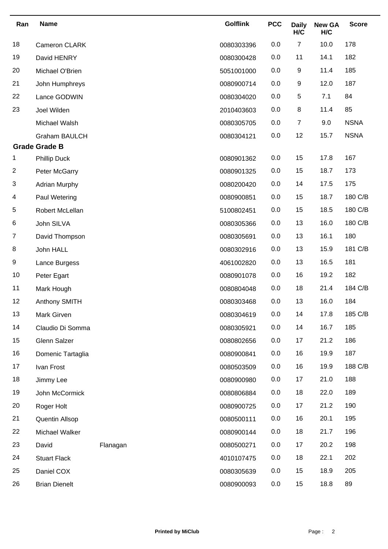| Ran | <b>Name</b>                                  |          | <b>Golflink</b> | <b>PCC</b> | <b>Daily</b><br>H/C | <b>New GA</b><br>H/C | <b>Score</b> |
|-----|----------------------------------------------|----------|-----------------|------------|---------------------|----------------------|--------------|
| 18  | Cameron CLARK                                |          | 0080303396      | 0.0        | $\overline{7}$      | 10.0                 | 178          |
| 19  | David HENRY                                  |          | 0080300428      | 0.0        | 11                  | 14.1                 | 182          |
| 20  | Michael O'Brien                              |          | 5051001000      | 0.0        | 9                   | 11.4                 | 185          |
| 21  | John Humphreys                               |          | 0080900714      | 0.0        | 9                   | 12.0                 | 187          |
| 22  | Lance GODWIN                                 |          | 0080304020      | 0.0        | 5                   | 7.1                  | 84           |
| 23  | Joel Wilden                                  |          | 2010403603      | 0.0        | 8                   | 11.4                 | 85           |
|     | Michael Walsh                                |          | 0080305705      | 0.0        | $\overline{7}$      | 9.0                  | <b>NSNA</b>  |
|     | <b>Graham BAULCH</b><br><b>Grade Grade B</b> |          | 0080304121      | 0.0        | 12                  | 15.7                 | <b>NSNA</b>  |
| 1   | <b>Phillip Duck</b>                          |          | 0080901362      | 0.0        | 15                  | 17.8                 | 167          |
| 2   | Peter McGarry                                |          | 0080901325      | 0.0        | 15                  | 18.7                 | 173          |
| 3   | <b>Adrian Murphy</b>                         |          | 0080200420      | 0.0        | 14                  | 17.5                 | 175          |
| 4   | Paul Wetering                                |          | 0080900851      | 0.0        | 15                  | 18.7                 | 180 C/B      |
| 5   | Robert McLellan                              |          | 5100802451      | 0.0        | 15                  | 18.5                 | 180 C/B      |
| 6   | John SILVA                                   |          | 0080305366      | 0.0        | 13                  | 16.0                 | 180 C/B      |
| 7   | David Thompson                               |          | 0080305691      | 0.0        | 13                  | 16.1                 | 180          |
| 8   | John HALL                                    |          | 0080302916      | 0.0        | 13                  | 15.9                 | 181 C/B      |
| 9   | Lance Burgess                                |          | 4061002820      | 0.0        | 13                  | 16.5                 | 181          |
| 10  | Peter Egart                                  |          | 0080901078      | 0.0        | 16                  | 19.2                 | 182          |
| 11  | Mark Hough                                   |          | 0080804048      | 0.0        | 18                  | 21.4                 | 184 C/B      |
| 12  | Anthony SMITH                                |          | 0080303468      | 0.0        | 13                  | 16.0                 | 184          |
| 13  | Mark Girven                                  |          | 0080304619      | 0.0        | 14                  | 17.8                 | 185 C/B      |
| 14  | Claudio Di Somma                             |          | 0080305921      | 0.0        | 14                  | 16.7                 | 185          |
| 15  | Glenn Salzer                                 |          | 0080802656      | 0.0        | 17                  | 21.2                 | 186          |
| 16  | Domenic Tartaglia                            |          | 0080900841      | 0.0        | 16                  | 19.9                 | 187          |
| 17  | Ivan Frost                                   |          | 0080503509      | 0.0        | 16                  | 19.9                 | 188 C/B      |
| 18  | Jimmy Lee                                    |          | 0080900980      | 0.0        | 17                  | 21.0                 | 188          |
| 19  | John McCormick                               |          | 0080806884      | 0.0        | 18                  | 22.0                 | 189          |
| 20  | Roger Holt                                   |          | 0080900725      | 0.0        | 17                  | 21.2                 | 190          |
| 21  | Quentin Allsop                               |          | 0080500111      | 0.0        | 16                  | 20.1                 | 195          |
| 22  | Michael Walker                               |          | 0080900144      | 0.0        | 18                  | 21.7                 | 196          |
| 23  | David                                        | Flanagan | 0080500271      | 0.0        | 17                  | 20.2                 | 198          |
| 24  | <b>Stuart Flack</b>                          |          | 4010107475      | 0.0        | 18                  | 22.1                 | 202          |
| 25  | Daniel COX                                   |          | 0080305639      | 0.0        | 15                  | 18.9                 | 205          |
| 26  | <b>Brian Dienelt</b>                         |          | 0080900093      | 0.0        | 15                  | 18.8                 | 89           |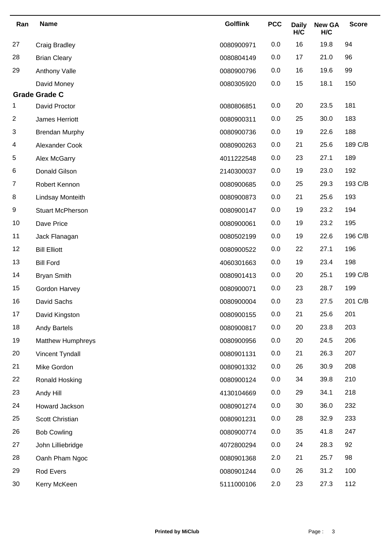| Ran            | <b>Name</b>              | <b>Golflink</b> | <b>PCC</b> | <b>Daily</b><br>H/C | <b>New GA</b><br>H/C | <b>Score</b> |
|----------------|--------------------------|-----------------|------------|---------------------|----------------------|--------------|
| 27             | <b>Craig Bradley</b>     | 0080900971      | 0.0        | 16                  | 19.8                 | 94           |
| 28             | <b>Brian Cleary</b>      | 0080804149      | 0.0        | 17                  | 21.0                 | 96           |
| 29             | Anthony Valle            | 0080900796      | 0.0        | 16                  | 19.6                 | 99           |
|                | David Money              | 0080305920      | 0.0        | 15                  | 18.1                 | 150          |
|                | <b>Grade Grade C</b>     |                 |            |                     |                      |              |
| 1              | David Proctor            | 0080806851      | 0.0        | 20                  | 23.5                 | 181          |
| 2              | James Herriott           | 0080900311      | 0.0        | 25                  | 30.0                 | 183          |
| 3              | <b>Brendan Murphy</b>    | 0080900736      | 0.0        | 19                  | 22.6                 | 188          |
| 4              | Alexander Cook           | 0080900263      | 0.0        | 21                  | 25.6                 | 189 C/B      |
| 5              | Alex McGarry             | 4011222548      | 0.0        | 23                  | 27.1                 | 189          |
| 6              | Donald Gilson            | 2140300037      | 0.0        | 19                  | 23.0                 | 192          |
| $\overline{7}$ | Robert Kennon            | 0080900685      | 0.0        | 25                  | 29.3                 | 193 C/B      |
| 8              | Lindsay Monteith         | 0080900873      | 0.0        | 21                  | 25.6                 | 193          |
| 9              | <b>Stuart McPherson</b>  | 0080900147      | 0.0        | 19                  | 23.2                 | 194          |
| 10             | Dave Price               | 0080900061      | 0.0        | 19                  | 23.2                 | 195          |
| 11             | Jack Flanagan            | 0080502199      | 0.0        | 19                  | 22.6                 | 196 C/B      |
| 12             | <b>Bill Elliott</b>      | 0080900522      | 0.0        | 22                  | 27.1                 | 196          |
| 13             | <b>Bill Ford</b>         | 4060301663      | 0.0        | 19                  | 23.4                 | 198          |
| 14             | <b>Bryan Smith</b>       | 0080901413      | 0.0        | 20                  | 25.1                 | 199 C/B      |
| 15             | Gordon Harvey            | 0080900071      | 0.0        | 23                  | 28.7                 | 199          |
| 16             | David Sachs              | 0080900004      | 0.0        | 23                  | 27.5                 | 201 C/B      |
| 17             | David Kingston           | 0080900155      | 0.0        | 21                  | 25.6                 | 201          |
| 18             | <b>Andy Bartels</b>      | 0080900817      | 0.0        | 20                  | 23.8                 | 203          |
| 19             | <b>Matthew Humphreys</b> | 0080900956      | 0.0        | 20                  | 24.5                 | 206          |
| 20             | Vincent Tyndall          | 0080901131      | 0.0        | 21                  | 26.3                 | 207          |
| 21             | Mike Gordon              | 0080901332      | 0.0        | 26                  | 30.9                 | 208          |
| 22             | Ronald Hosking           | 0080900124      | 0.0        | 34                  | 39.8                 | 210          |
| 23             | Andy Hill                | 4130104669      | 0.0        | 29                  | 34.1                 | 218          |
| 24             | Howard Jackson           | 0080901274      | 0.0        | 30                  | 36.0                 | 232          |
| 25             | Scott Christian          | 0080901231      | 0.0        | 28                  | 32.9                 | 233          |
| 26             | <b>Bob Cowling</b>       | 0080900774      | 0.0        | 35                  | 41.8                 | 247          |
| 27             | John Lilliebridge        | 4072800294      | 0.0        | 24                  | 28.3                 | 92           |
| 28             | Oanh Pham Ngoc           | 0080901368      | 2.0        | 21                  | 25.7                 | 98           |
| 29             | Rod Evers                | 0080901244      | 0.0        | 26                  | 31.2                 | 100          |
| 30             | Kerry McKeen             | 5111000106      | 2.0        | 23                  | 27.3                 | 112          |